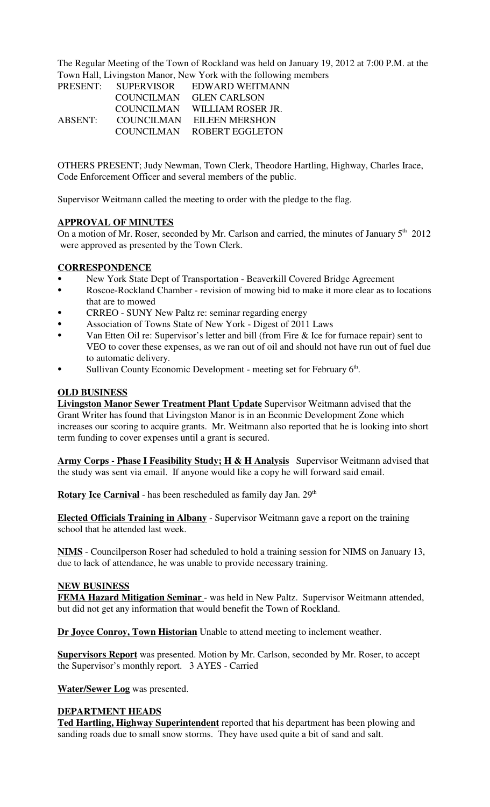The Regular Meeting of the Town of Rockland was held on January 19, 2012 at 7:00 P.M. at the Town Hall, Livingston Manor, New York with the following members

| <b>PRESENT:</b> | <b>SUPERVISOR</b> | EDWARD WEITMANN       |
|-----------------|-------------------|-----------------------|
|                 | <b>COUNCILMAN</b> | <b>GLEN CARLSON</b>   |
|                 | <b>COUNCILMAN</b> | WILLIAM ROSER JR.     |
| ABSENT:         | COUNCILMAN        | <b>EILEEN MERSHON</b> |
|                 | COUNCILMAN        | ROBERT EGGLETON       |

OTHERS PRESENT; Judy Newman, Town Clerk, Theodore Hartling, Highway, Charles Irace, Code Enforcement Officer and several members of the public.

Supervisor Weitmann called the meeting to order with the pledge to the flag.

#### **APPROVAL OF MINUTES**

On a motion of Mr. Roser, seconded by Mr. Carlson and carried, the minutes of January  $5<sup>th</sup>$  2012 were approved as presented by the Town Clerk.

#### **CORRESPONDENCE**

- New York State Dept of Transportation Beaverkill Covered Bridge Agreement
- Roscoe-Rockland Chamber revision of mowing bid to make it more clear as to locations that are to mowed
- CRREO SUNY New Paltz re: seminar regarding energy
- Association of Towns State of New York Digest of 2011 Laws
- Van Etten Oil re: Supervisor's letter and bill (from Fire  $\&$  Ice for furnace repair) sent to VEO to cover these expenses, as we ran out of oil and should not have run out of fuel due to automatic delivery.
- Sullivan County Economic Development meeting set for February  $6<sup>th</sup>$ .

# **OLD BUSINESS**

**Livingston Manor Sewer Treatment Plant Update** Supervisor Weitmann advised that the Grant Writer has found that Livingston Manor is in an Econmic Development Zone which increases our scoring to acquire grants. Mr. Weitmann also reported that he is looking into short term funding to cover expenses until a grant is secured.

**Army Corps - Phase I Feasibility Study; H & H Analysis** Supervisor Weitmann advised that the study was sent via email. If anyone would like a copy he will forward said email.

**Rotary Ice Carnival** - has been rescheduled as family day Jan. 29<sup>th</sup>

**Elected Officials Training in Albany** - Supervisor Weitmann gave a report on the training school that he attended last week.

**NIMS** - Councilperson Roser had scheduled to hold a training session for NIMS on January 13, due to lack of attendance, he was unable to provide necessary training.

#### **NEW BUSINESS**

**FEMA Hazard Mitigation Seminar** - was held in New Paltz. Supervisor Weitmann attended, but did not get any information that would benefit the Town of Rockland.

**Dr Joyce Conroy, Town Historian** Unable to attend meeting to inclement weather.

**Supervisors Report** was presented. Motion by Mr. Carlson, seconded by Mr. Roser, to accept the Supervisor's monthly report. 3 AYES - Carried

**Water/Sewer Log** was presented.

#### **DEPARTMENT HEADS**

**Ted Hartling, Highway Superintendent** reported that his department has been plowing and sanding roads due to small snow storms. They have used quite a bit of sand and salt.